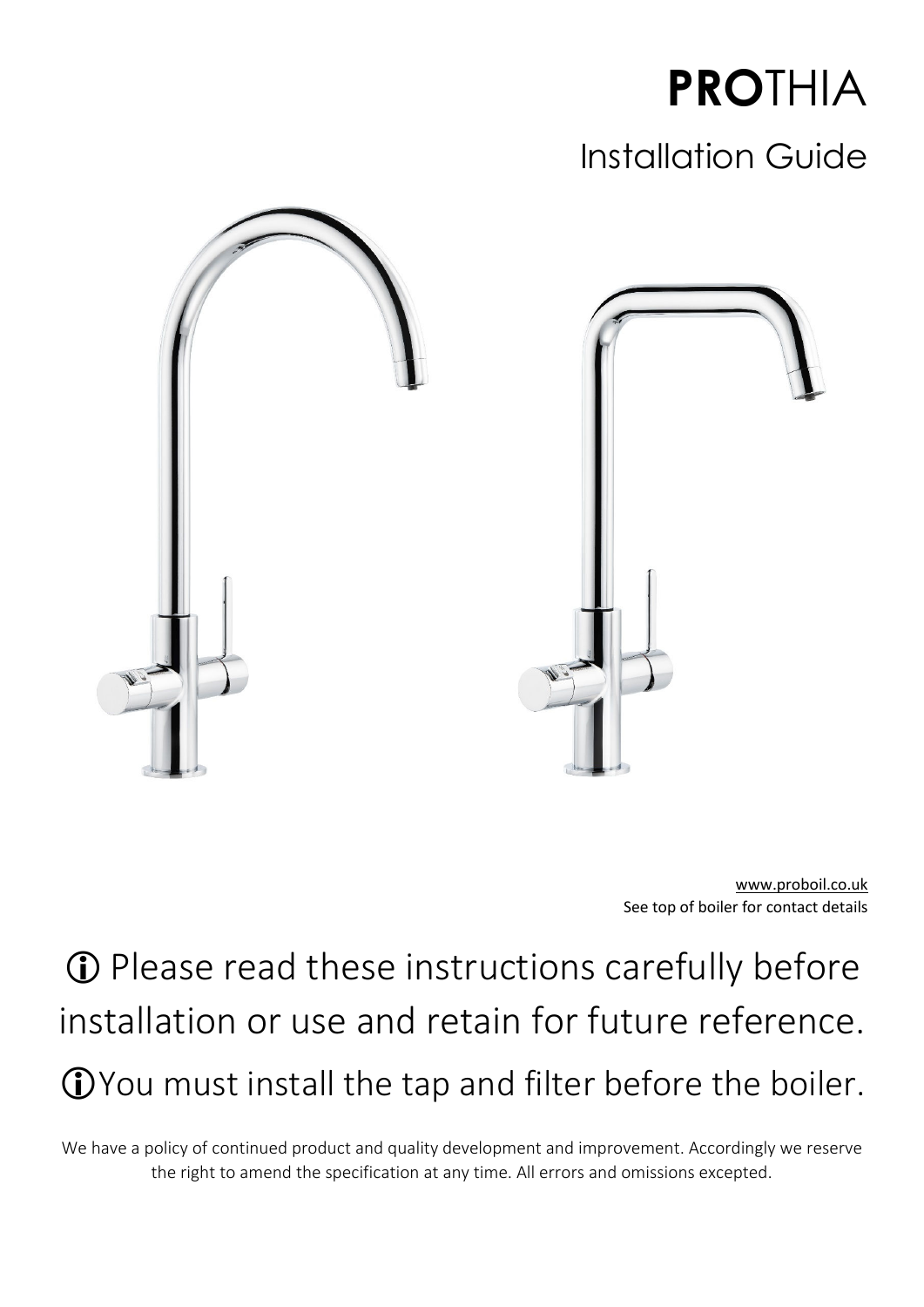

## Installation Guide



www.proboil.co.uk See top of boiler for contact details

 Please read these instructions carefully before installation or use and retain for future reference. You must install the tap and filter before the boiler.

We have a policy of continued product and quality development and improvement. Accordingly we reserve the right to amend the specification at any time. All errors and omissions excepted.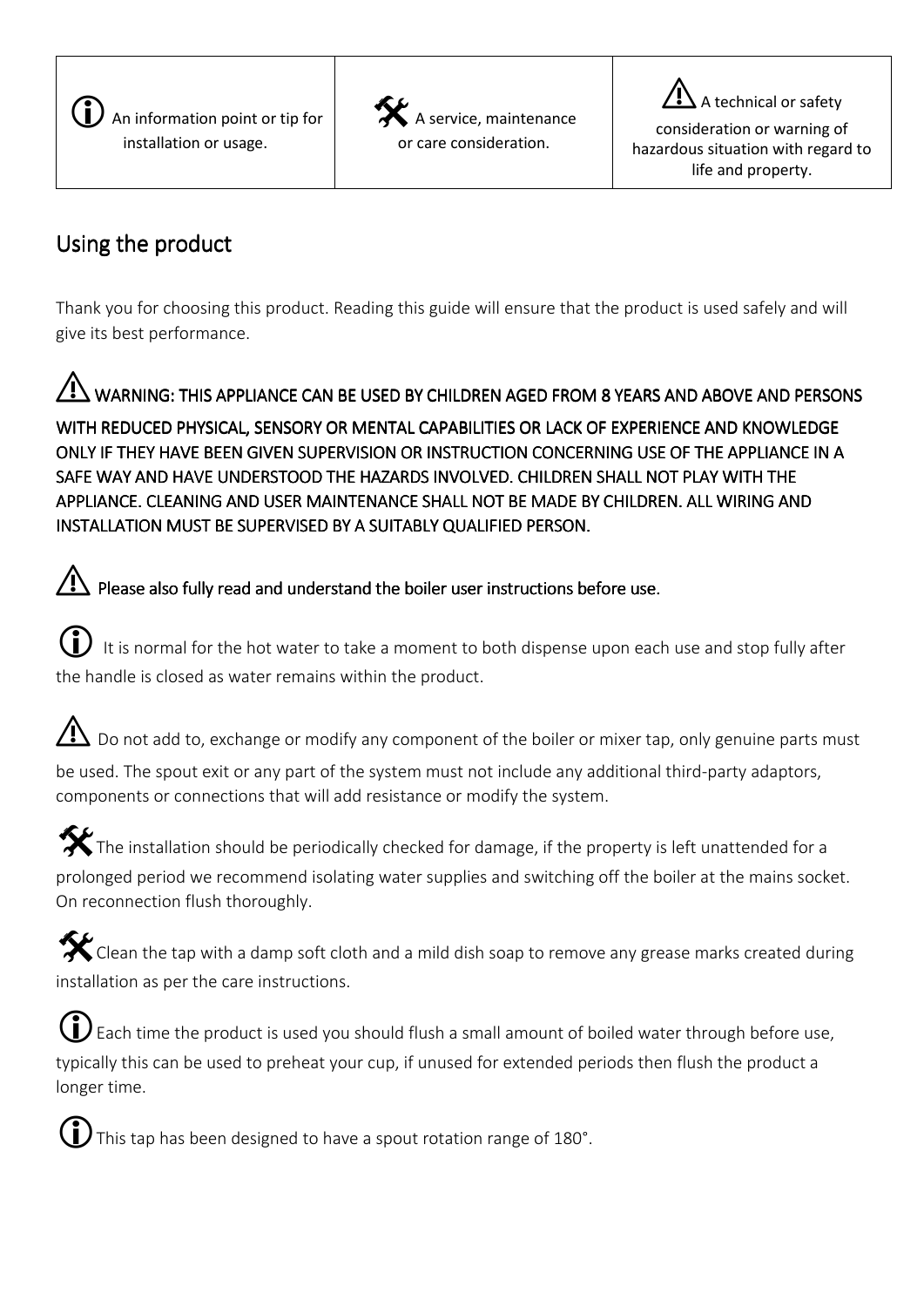

 $\hat{\boldsymbol{x}}$ service, maintenance or care consideration.

⚠ A technical or safety consideration or warning of hazardous situation with regard to life and property.

## Using the product

Thank you for choosing this product. Reading this guide will ensure that the product is used safely and will give its best performance.

### ⚠ WARNING: THIS APPLIANCE CAN BE USED BY CHILDREN AGED FROM 8 YEARS AND ABOVE AND PERSONS WITH REDUCED PHYSICAL, SENSORY OR MENTAL CAPABILITIES OR LACK OF EXPERIENCE AND KNOWLEDGE ONLY IF THEY HAVE BEEN GIVEN SUPERVISION OR INSTRUCTION CONCERNING USE OF THE APPLIANCE IN A SAFE WAY AND HAVE UNDERSTOOD THE HAZARDS INVOLVED. CHILDREN SHALL NOT PLAY WITH THE APPLIANCE. CLEANING AND USER MAINTENANCE SHALL NOT BE MADE BY CHILDREN. ALL WIRING AND INSTALLATION MUST BE SUPERVISED BY A SUITABLY QUALIFIED PERSON.

. Please also fully read and understand the boiler user instructions before use.

 It is normal for the hot water to take a moment to both dispense upon each use and stop fully after the handle is closed as water remains within the product.

⚠ Do not add to, exchange or modify any component of the boiler or mixer tap, only genuine parts must be used. The spout exit or any part of the system must not include any additional third-party adaptors, components or connections that will add resistance or modify the system.

 $\hat{\boldsymbol{x}}$ The installation should be periodically checked for damage, if the property is left unattended for a prolonged period we recommend isolating water supplies and switching off the boiler at the mains socket. On reconnection flush thoroughly.

 $\hat{\mathbf{x}}$ Clean the tap with a damp soft cloth and a mild dish soap to remove any grease marks created during installation as per the care instructions.

Each time the product is used you should flush a small amount of boiled water through before use, typically this can be used to preheat your cup, if unused for extended periods then flush the product a longer time.



This tap has been designed to have a spout rotation range of 180°.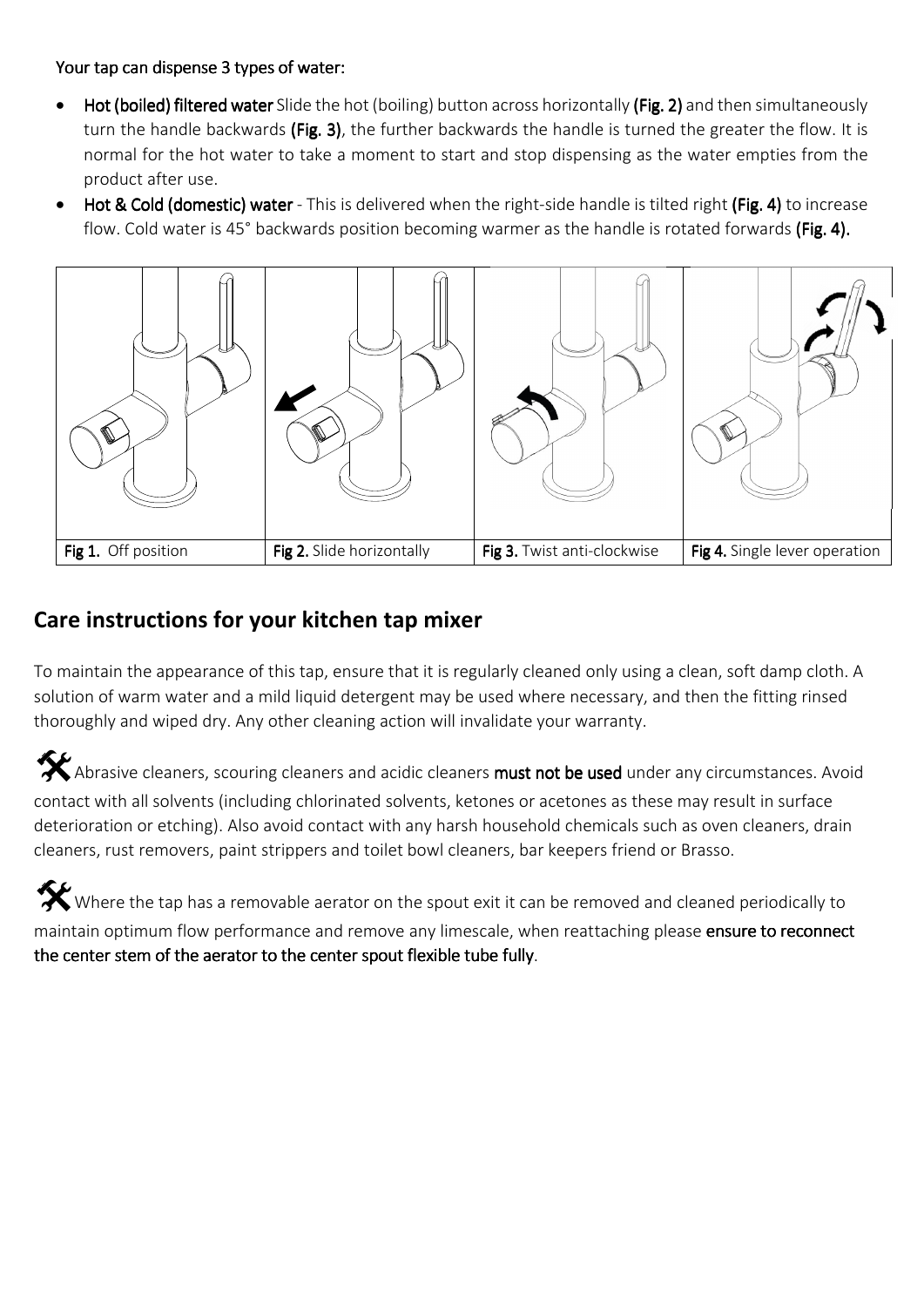#### Your tap can dispense 3 types of water:

- Hot (boiled) filtered water Slide the hot (boiling) button across horizontally (Fig. 2) and then simultaneously turn the handle backwards (Fig. 3), the further backwards the handle is turned the greater the flow. It is normal for the hot water to take a moment to start and stop dispensing as the water empties from the product after use.
- Hot & Cold (domestic) water This is delivered when the right-side handle is tilted right (Fig. 4) to increase flow. Cold water is 45° backwards position becoming warmer as the handle is rotated forwards (Fig. 4).



### **Care instructions for your kitchen tap mixer**

To maintain the appearance of this tap, ensure that it is regularly cleaned only using a clean, soft damp cloth. A solution of warm water and a mild liquid detergent may be used where necessary, and then the fitting rinsed thoroughly and wiped dry. Any other cleaning action will invalidate your warranty.

Abrasive cleaners, scouring cleaners and acidic cleaners must not be used under any circumstances. Avoid contact with all solvents (including chlorinated solvents, ketones or acetones as these may result in surface deterioration or etching). Also avoid contact with any harsh household chemicals such as oven cleaners, drain cleaners, rust removers, paint strippers and toilet bowl cleaners, bar keepers friend or Brasso.

Where the tap has a removable aerator on the spout exit it can be removed and cleaned periodically to maintain optimum flow performance and remove any limescale, when reattaching please ensure to reconnect the center stem of the aerator to the center spout flexible tube fully.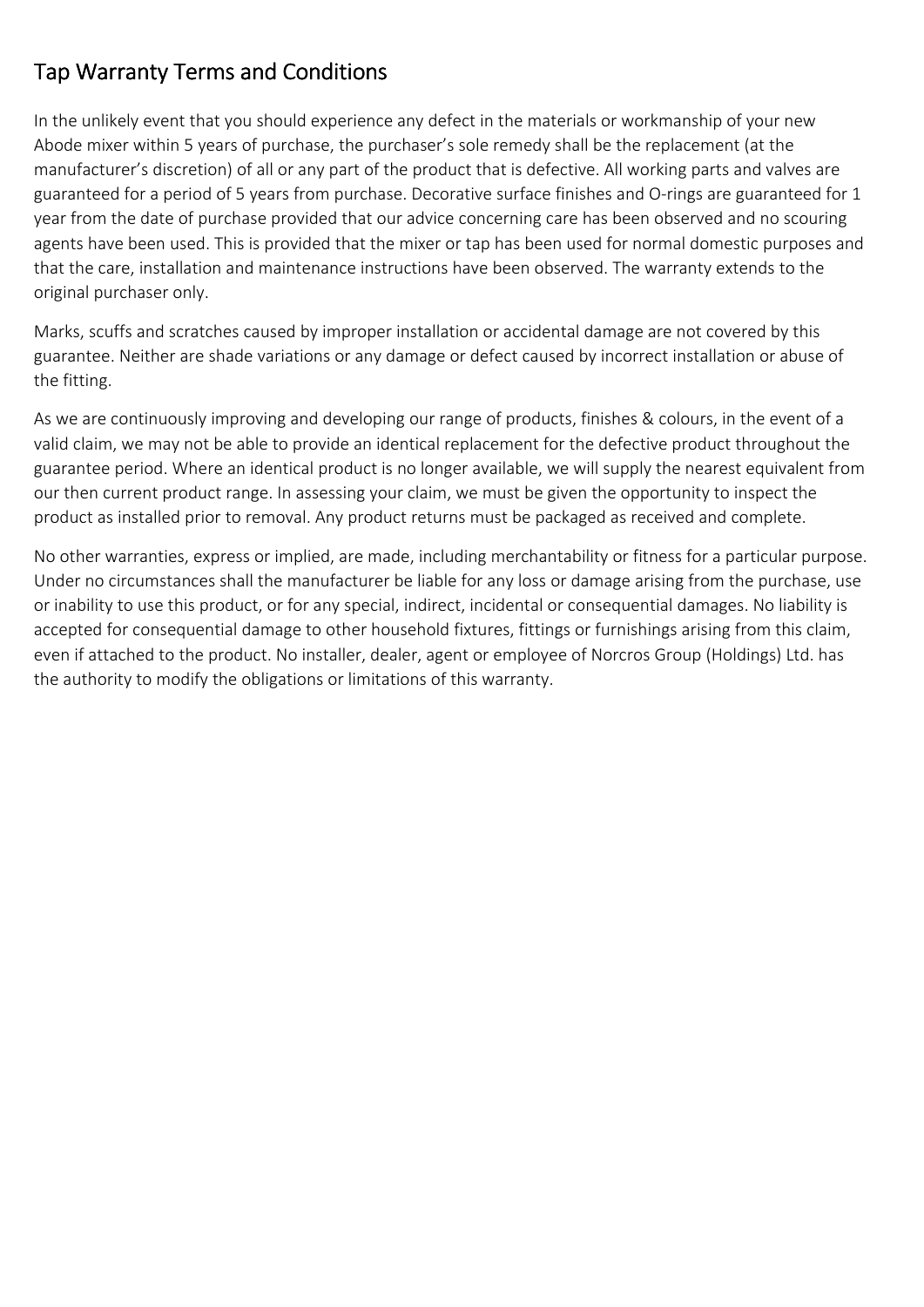## Tap Warranty Terms and Conditions

In the unlikely event that you should experience any defect in the materials or workmanship of your new Abode mixer within 5 years of purchase, the purchaser's sole remedy shall be the replacement (at the manufacturer's discretion) of all or any part of the product that is defective. All working parts and valves are guaranteed for a period of 5 years from purchase. Decorative surface finishes and O-rings are guaranteed for 1 year from the date of purchase provided that our advice concerning care has been observed and no scouring agents have been used. This is provided that the mixer or tap has been used for normal domestic purposes and that the care, installation and maintenance instructions have been observed. The warranty extends to the original purchaser only.

Marks, scuffs and scratches caused by improper installation or accidental damage are not covered by this guarantee. Neither are shade variations or any damage or defect caused by incorrect installation or abuse of the fitting.

As we are continuously improving and developing our range of products, finishes & colours, in the event of a valid claim, we may not be able to provide an identical replacement for the defective product throughout the guarantee period. Where an identical product is no longer available, we will supply the nearest equivalent from our then current product range. In assessing your claim, we must be given the opportunity to inspect the product as installed prior to removal. Any product returns must be packaged as received and complete.

No other warranties, express or implied, are made, including merchantability or fitness for a particular purpose. Under no circumstances shall the manufacturer be liable for any loss or damage arising from the purchase, use or inability to use this product, or for any special, indirect, incidental or consequential damages. No liability is accepted for consequential damage to other household fixtures, fittings or furnishings arising from this claim, even if attached to the product. No installer, dealer, agent or employee of Norcros Group (Holdings) Ltd. has the authority to modify the obligations or limitations of this warranty.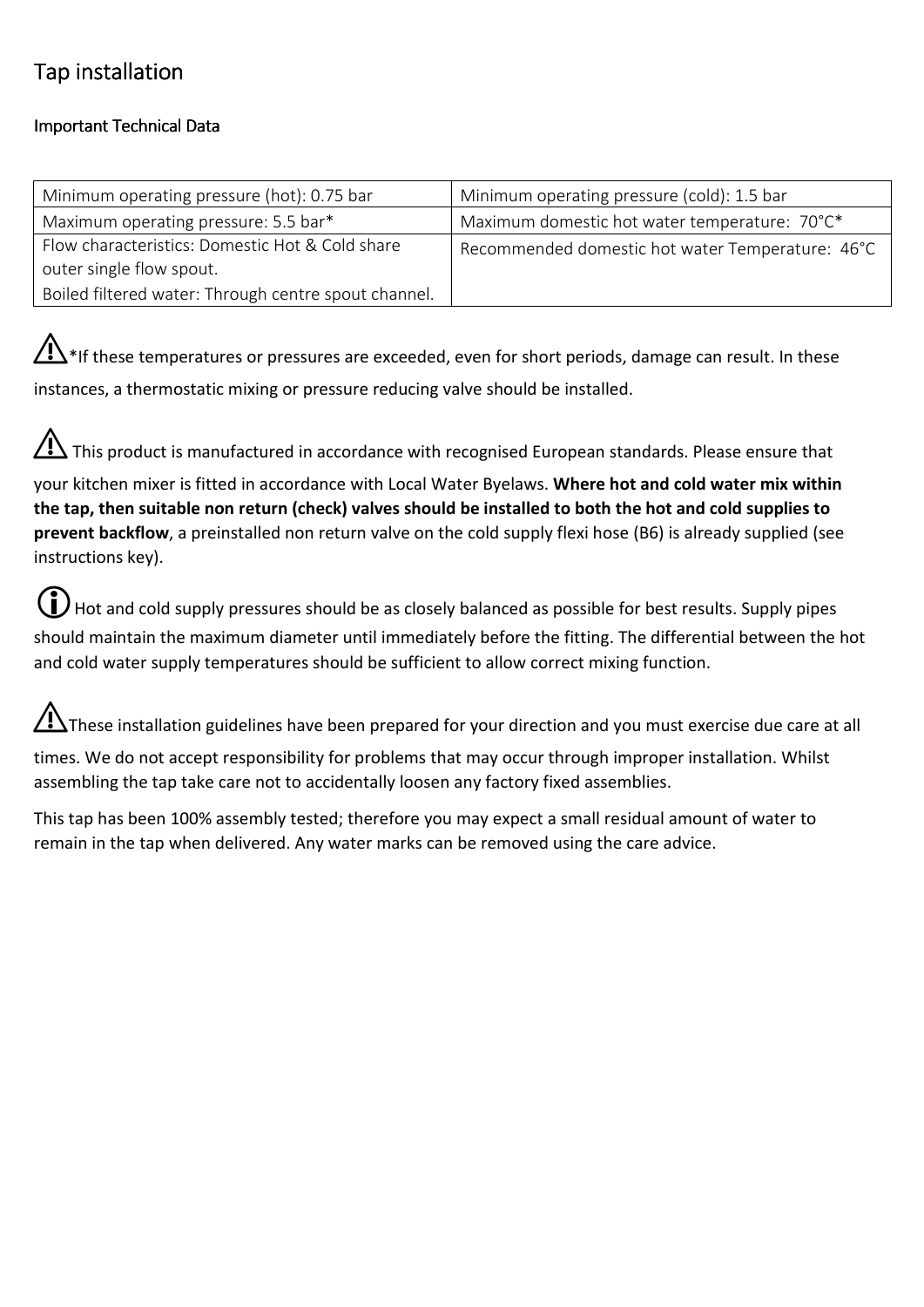## **Tap installation**

### **Important Technical Data**

| Minimum operating pressure (hot): 0.75 bar                                                          | Minimum operating pressure (cold): 1.5 bar    |  |
|-----------------------------------------------------------------------------------------------------|-----------------------------------------------|--|
| Maximum operating pressure: 5.5 bar*                                                                | Maximum domestic hot water temperature: 70°C* |  |
| Flow characteristics: Domestic Hot & Cold share<br>Recommended domestic hot water Temperature: 46°C |                                               |  |
| outer single flow spout.                                                                            |                                               |  |
| Boiled filtered water: Through centre spout channel.                                                |                                               |  |

 $\bigwedge^2$ \*If these temperatures or pressures are exceeded, even for short periods, damage can result. In these instances, a thermostatic mixing or pressure reducing valve should be installed.

⚠This product is manufactured in accordance with recognised European standards. Please ensure that your kitchen mixer is fitted in accordance with Local Water Byelaws. **Where hot and cold water mix within the tap, then suitable non return (check) valves should be installed to both the hot and cold supplies to prevent backflow**, a preinstalled non return valve on the cold supply flexi hose (B6) is already supplied (see

instructions key).

Hot and cold supply pressures should be as closely balanced as possible for best results. Supply pipes should maintain the maximum diameter until immediately before the fitting. The differential between the hot and cold water supply temperatures should be sufficient to allow correct mixing function.

 $\bigoplus$ These installation guidelines have been prepared for your direction and you must exercise due care at all

times. We do not accept responsibility for problems that may occur through improper installation. Whilst assembling the tap take care not to accidentally loosen any factory fixed assemblies.

This tap has been 100% assembly tested; therefore you may expect a small residual amount of water to remain in the tap when delivered. Any water marks can be removed using the care advice.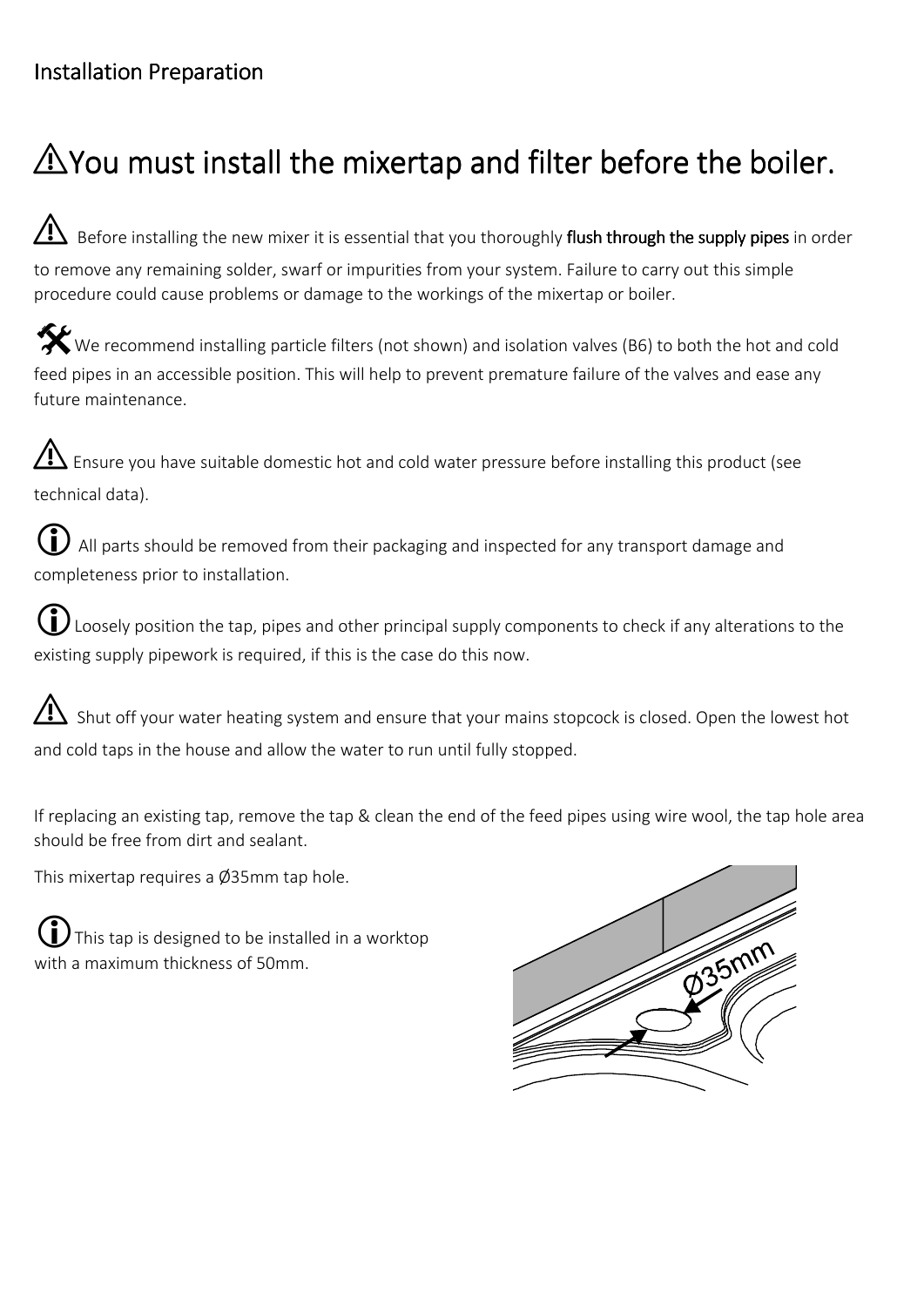## **Installation Preparation**

# $\triangle$  You must install the mixertap and filter before the boiler.

 $\Box$  Before installing the new mixer it is essential that you thoroughly flush through the supply pipes in order to remove any remaining solder, swarf or impurities from your system. Failure to carry out this simple procedure could cause problems or damage to the workings of the mixertap or boiler.

We recommend installing particle filters (not shown) and isolation valves (B6) to both the hot and cold feed pipes in an accessible position. This will help to prevent premature failure of the valves and ease any future maintenance.

 $\bf{\Delta}$  Ensure you have suitable domestic hot and cold water pressure before installing this product (see technical data).

 All parts should be removed from their packaging and inspected for any transport damage and completeness prior to installation.

 $\bf{(i)}$  Loosely position the tap, pipes and other principal supply components to check if any alterations to the existing supply pipework is required, if this is the case do this now.

⚠ Shut off your water heating system and ensure that your mains stopcock is closed. Open the lowest hot and cold taps in the house and allow the water to run until fully stopped.

If replacing an existing tap, remove the tap & clean the end of the feed pipes using wire wool, the tap hole area should be free from dirt and sealant.

This mixertap requires a Ø35mm tap hole.

This tap is designed to be installed in a worktop with a maximum thickness of 50mm.

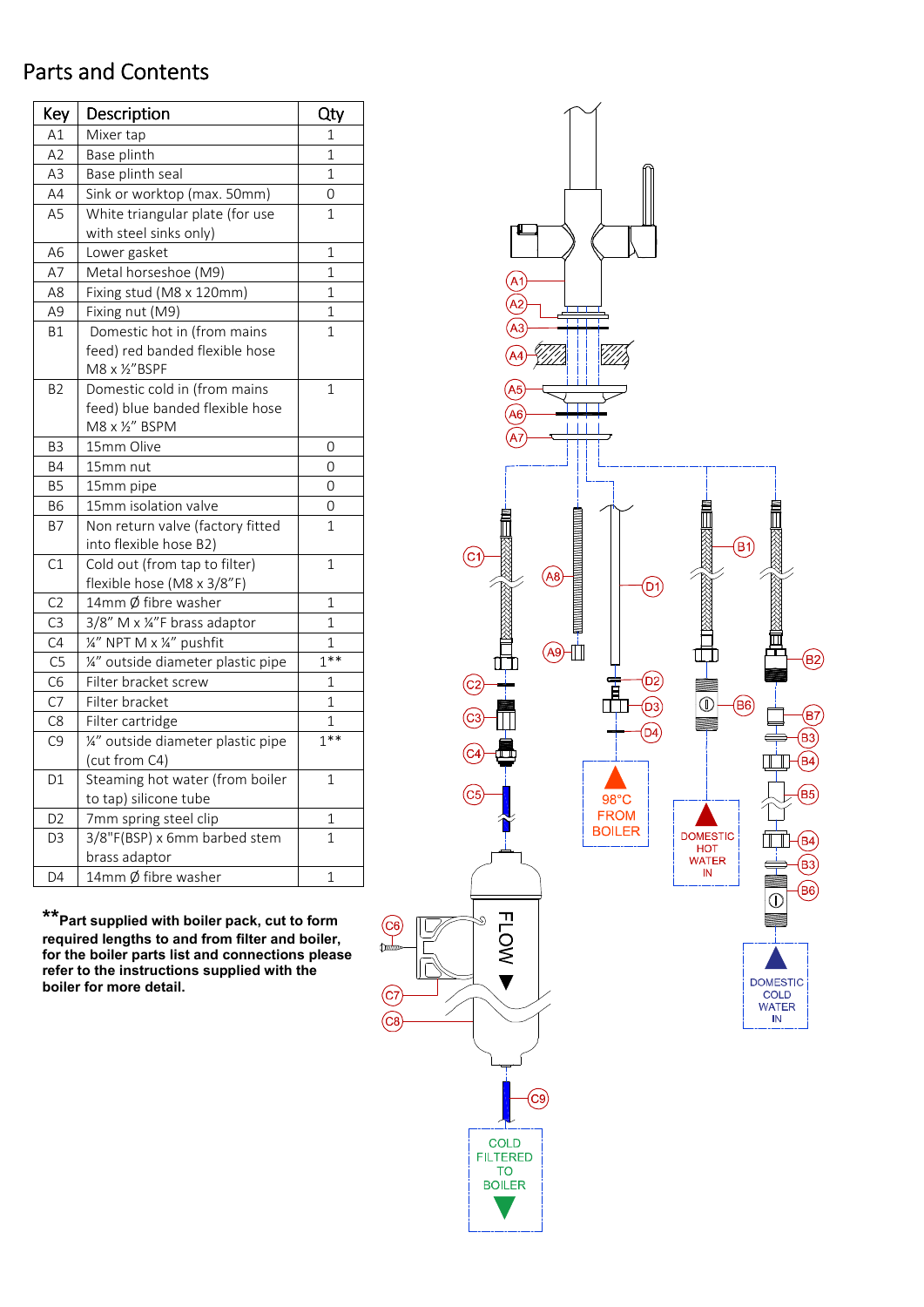### Parts and Contents

| Key             | Description                        | Qty            |
|-----------------|------------------------------------|----------------|
| A1              | Mixer tap                          | 1              |
| A2              | Base plinth                        | 1              |
| A3              | Base plinth seal                   | 1              |
| AA              | Sink or worktop (max. 50mm)        | 0              |
| A <sub>5</sub>  | White triangular plate (for use    | 1              |
|                 | with steel sinks only)             |                |
| A <sub>6</sub>  | Lower gasket                       | $\overline{1}$ |
| A7              | Metal horseshoe (M9)               | $\overline{1}$ |
| A8              | Fixing stud (M8 x 120mm)           | 1              |
| A9              | Fixing nut (M9)                    | 1              |
| <b>B1</b>       | Domestic hot in (from mains        | 1              |
|                 | feed) red banded flexible hose     |                |
|                 | M8 x 1/2"BSPF                      |                |
| B <sub>2</sub>  | Domestic cold in (from mains       | $\overline{1}$ |
|                 | feed) blue banded flexible hose    |                |
|                 | M8 x 1/2" BSPM                     |                |
| B <sub>3</sub>  | 15mm Olive                         | 0              |
| Β4              | 15mm nut                           | 0              |
| Β5              | 15mm pipe                          | 0              |
| <b>B6</b>       | 15mm isolation valve               | 0              |
| <b>B7</b>       | Non return valve (factory fitted   | 1              |
|                 | into flexible hose B2)             |                |
| $\overline{C1}$ | Cold out (from tap to filter)      | 1              |
|                 | flexible hose (M8 x 3/8"F)         |                |
| C <sub>2</sub>  | 14mm Ø fibre washer                | 1              |
| C <sub>3</sub>  | 3/8" M x ¼"F brass adaptor         | 1              |
| C4              | 1/4" NPT M x 1/4" pushfit          | 1              |
| C <sub>5</sub>  | 1/2" outside diameter plastic pipe | $1***$         |
| C <sub>6</sub>  | Filter bracket screw               | 1              |
| C <sub>7</sub>  | Filter bracket                     | 1              |
| C <sub>8</sub>  | Filter cartridge                   | 1              |
| C <sub>9</sub>  | 1/2" outside diameter plastic pipe | $1***$         |
|                 | (cut from C4)                      |                |
| D <sub>1</sub>  | Steaming hot water (from boiler    | 1              |
|                 | to tap) silicone tube              |                |
| D2              | 7mm spring steel clip              | 1              |
| D <sub>3</sub>  | 3/8"F(BSP) x 6mm barbed stem       | $\mathbf{1}$   |
|                 | brass adaptor                      |                |
| D <sub>4</sub>  | 14mm Ø fibre washer                | 1              |

**\*\*Part supplied with boiler pack, cut to form required lengths to and from filter and boiler, for the boiler parts list and connections please refer to the instructions supplied with the boiler for more detail.** 

 $\left($ 

(c **C8** 

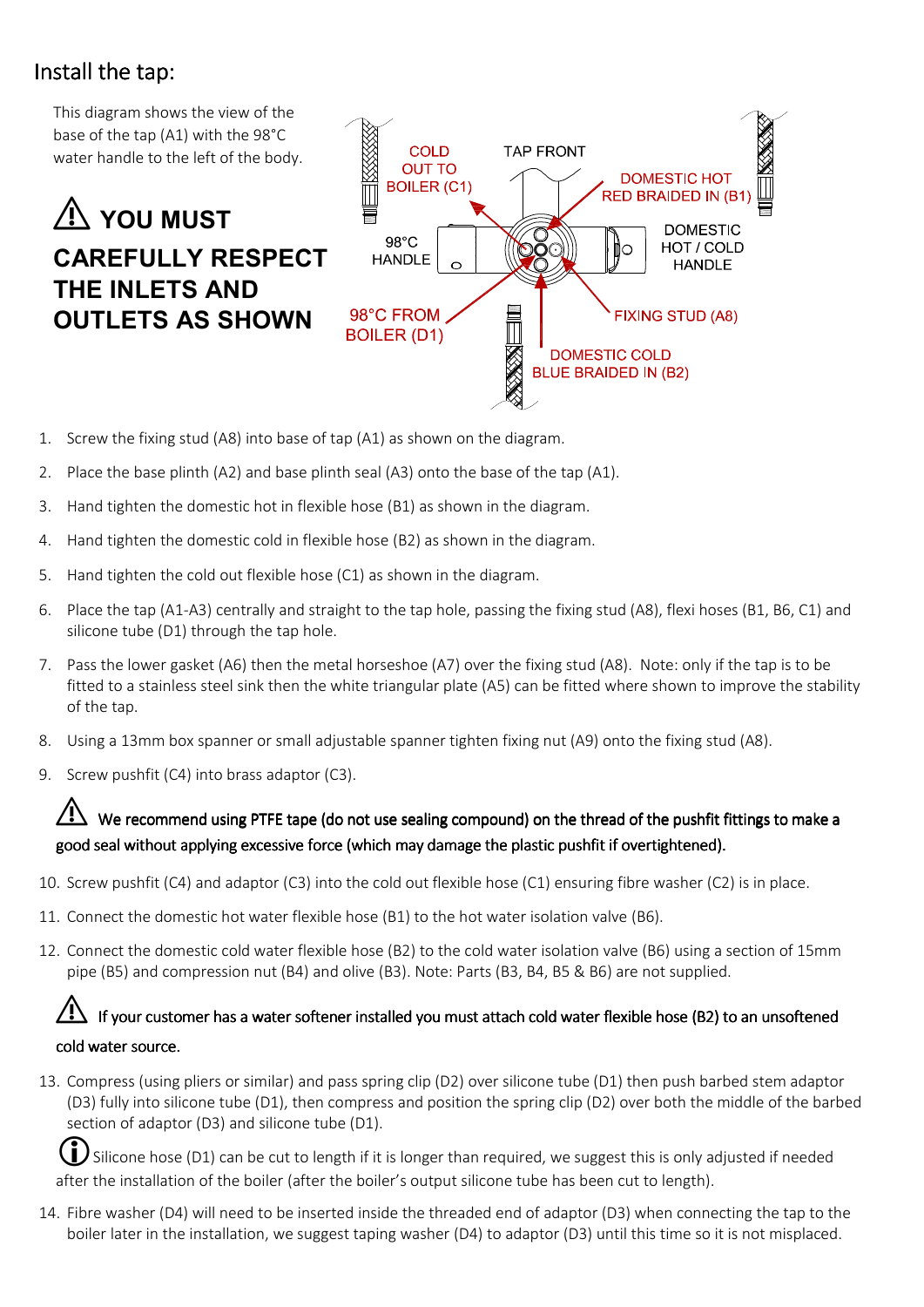## Install the tap:

This diagram shows the view of the base of the tap (A1) with the 98°C water handle to the left of the body.

## ⚠ **YOU MUST CAREFULLY RESPECT THE INLETS AND OUTLETS AS SHOWN**



- 1. Screw the fixing stud (A8) into base of tap (A1) as shown on the diagram.
- 2. Place the base plinth (A2) and base plinth seal (A3) onto the base of the tap (A1).
- 3. Hand tighten the domestic hot in flexible hose (B1) as shown in the diagram.
- 4. Hand tighten the domestic cold in flexible hose (B2) as shown in the diagram.
- 5. Hand tighten the cold out flexible hose (C1) as shown in the diagram.
- 6. Place the tap (A1-A3) centrally and straight to the tap hole, passing the fixing stud (A8), flexi hoses (B1, B6, C1) and silicone tube (D1) through the tap hole.
- 7. Pass the lower gasket (A6) then the metal horseshoe (A7) over the fixing stud (A8). Note: only if the tap is to be fitted to a stainless steel sink then the white triangular plate (A5) can be fitted where shown to improve the stability of the tap.
- 8. Using a 13mm box spanner or small adjustable spanner tighten fixing nut (A9) onto the fixing stud (A8).
- 9. Screw pushfit (C4) into brass adaptor (C3).

#### We recommend using PTFE tape (do not use sealing compound) on the thread of the pushfit fittings to make a good seal without applying excessive force (which may damage the plastic pushfit if overtightened).

- 10. Screw pushfit (C4) and adaptor (C3) into the cold out flexible hose (C1) ensuring fibre washer (C2) is in place.
- 11. Connect the domestic hot water flexible hose (B1) to the hot water isolation valve (B6).
- 12. Connect the domestic cold water flexible hose (B2) to the cold water isolation valve (B6) using a section of 15mm pipe (B5) and compression nut (B4) and olive (B3). Note: Parts (B3, B4, B5 & B6) are not supplied.

### If your customer has a water softener installed you must attach cold water flexible hose (B2) to an unsoftened cold water source.

13. Compress (using pliers or similar) and pass spring clip (D2) over silicone tube (D1) then push barbed stem adaptor (D3) fully into silicone tube (D1), then compress and position the spring clip (D2) over both the middle of the barbed section of adaptor (D3) and silicone tube (D1).

Silicone hose (D1) can be cut to length if it is longer than required, we suggest this is only adjusted if needed after the installation of the boiler (after the boiler's output silicone tube has been cut to length).

14. Fibre washer (D4) will need to be inserted inside the threaded end of adaptor (D3) when connecting the tap to the boiler later in the installation, we suggest taping washer (D4) to adaptor (D3) until this time so it is not misplaced.